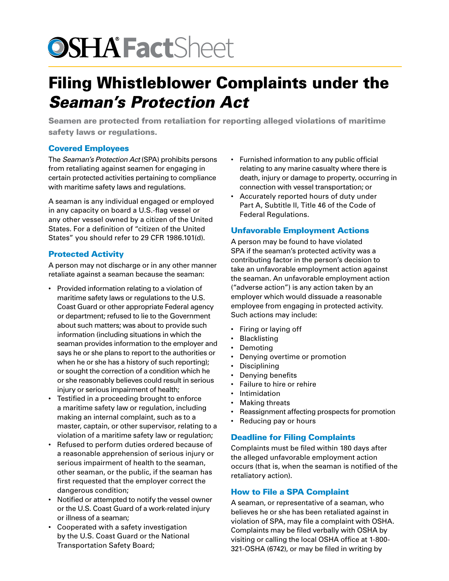# **OSHA Fact**Sheet

# Filing Whistleblower Complaints under the *Seaman's Protection Act*

Seamen are protected from retaliation for reporting alleged violations of maritime safety laws or regulations.

### Covered Employees

The *Seaman's Protection Act* (SPA) prohibits persons from retaliating against seamen for engaging in certain protected activities pertaining to compliance with maritime safety laws and regulations.

A seaman is any individual engaged or employed in any capacity on board a U.S.-flag vessel or any other vessel owned by a citizen of the United States. For a definition of "citizen of the United States" you should refer to 29 CFR 1986.101(d).

### Protected Activity

A person may not discharge or in any other manner retaliate against a seaman because the seaman:

- Provided information relating to a violation of maritime safety laws or regulations to the U.S. Coast Guard or other appropriate Federal agency or department; refused to lie to the Government about such matters; was about to provide such information (including situations in which the seaman provides information to the employer and says he or she plans to report to the authorities or when he or she has a history of such reporting); or sought the correction of a condition which he or she reasonably believes could result in serious injury or serious impairment of health;
- Testified in a proceeding brought to enforce a maritime safety law or regulation, including making an internal complaint, such as to a master, captain, or other supervisor, relating to a violation of a maritime safety law or regulation;
- Refused to perform duties ordered because of a reasonable apprehension of serious injury or serious impairment of health to the seaman, other seaman, or the public, if the seaman has first requested that the employer correct the dangerous condition;
- Notified or attempted to notify the vessel owner or the U.S. Coast Guard of a work-related injury or illness of a seaman;
- Cooperated with a safety investigation by the U.S. Coast Guard or the National Transportation Safety Board;
- Furnished information to any public official relating to any marine casualty where there is death, injury or damage to property, occurring in connection with vessel transportation; or
- Accurately reported hours of duty under Part A, Subtitle II, Title 46 of the Code of Federal Regulations.

### Unfavorable Employment Actions

A person may be found to have violated SPA if the seaman's protected activity was a contributing factor in the person's decision to take an unfavorable employment action against the seaman. An unfavorable employment action ("adverse action") is any action taken by an employer which would dissuade a reasonable employee from engaging in protected activity. Such actions may include:

- Firing or laying off
- Blacklisting
- Demoting
- Denying overtime or promotion
- Disciplining
- Denying benefits
- Failure to hire or rehire
- Intimidation
- **Making threats**
- Reassignment affecting prospects for promotion
- Reducing pay or hours

#### Deadline for Filing Complaints

Complaints must be filed within 180 days after the alleged unfavorable employment action occurs (that is, when the seaman is notified of the retaliatory action).

## How to File a SPA Complaint

A seaman, or representative of a seaman, who believes he or she has been retaliated against in violation of SPA, may file a complaint with OSHA. Complaints may be filed verbally with OSHA by visiting or calling the local OSHA office at 1-800- 321-OSHA (6742), or may be filed in writing by